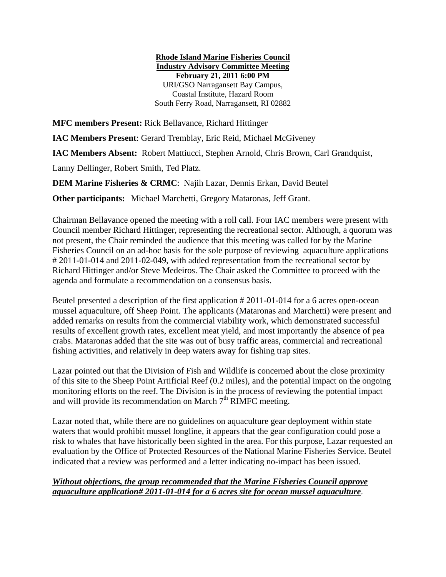## **Rhode Island Marine Fisheries Council Industry Advisory Committee Meeting February 21, 2011 6:00 PM**  URI/GSO Narragansett Bay Campus, Coastal Institute, Hazard Room South Ferry Road, Narragansett, RI 02882

**MFC members Present:** Rick Bellavance, Richard Hittinger

**IAC Members Present**: Gerard Tremblay, Eric Reid, Michael McGiveney

**IAC Members Absent:** Robert Mattiucci, Stephen Arnold, Chris Brown, Carl Grandquist,

Lanny Dellinger, Robert Smith, Ted Platz.

**DEM Marine Fisheries & CRMC**: Najih Lazar, Dennis Erkan, David Beutel

**Other participants:** Michael Marchetti, Gregory Mataronas, Jeff Grant.

Chairman Bellavance opened the meeting with a roll call. Four IAC members were present with Council member Richard Hittinger, representing the recreational sector. Although, a quorum was not present, the Chair reminded the audience that this meeting was called for by the Marine Fisheries Council on an ad-hoc basis for the sole purpose of reviewing aquaculture applications # 2011-01-014 and 2011-02-049, with added representation from the recreational sector by Richard Hittinger and/or Steve Medeiros. The Chair asked the Committee to proceed with the agenda and formulate a recommendation on a consensus basis.

Beutel presented a description of the first application # 2011-01-014 for a 6 acres open-ocean mussel aquaculture, off Sheep Point. The applicants (Mataronas and Marchetti) were present and added remarks on results from the commercial viability work, which demonstrated successful results of excellent growth rates, excellent meat yield, and most importantly the absence of pea crabs. Mataronas added that the site was out of busy traffic areas, commercial and recreational fishing activities, and relatively in deep waters away for fishing trap sites.

Lazar pointed out that the Division of Fish and Wildlife is concerned about the close proximity of this site to the Sheep Point Artificial Reef (0.2 miles), and the potential impact on the ongoing monitoring efforts on the reef. The Division is in the process of reviewing the potential impact and will provide its recommendation on March  $7<sup>th</sup>$  RIMFC meeting.

Lazar noted that, while there are no guidelines on aquaculture gear deployment within state waters that would prohibit mussel longline, it appears that the gear configuration could pose a risk to whales that have historically been sighted in the area. For this purpose, Lazar requested an evaluation by the Office of Protected Resources of the National Marine Fisheries Service. Beutel indicated that a review was performed and a letter indicating no-impact has been issued.

## *Without objections, the group recommended that the Marine Fisheries Council approve aquaculture application# 2011-01-014 for a 6 acres site for ocean mussel aquaculture*.